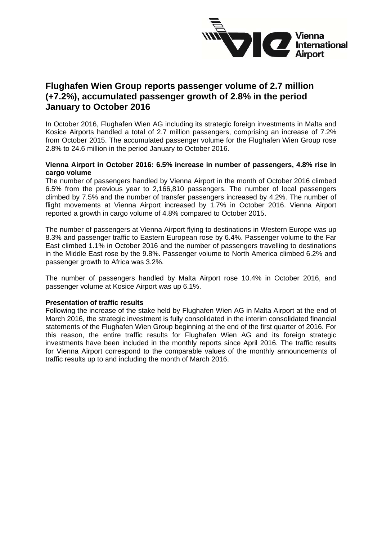

# **Flughafen Wien Group reports passenger volume of 2.7 million (+7.2%), accumulated passenger growth of 2.8% in the period January to October 2016**

In October 2016, Flughafen Wien AG including its strategic foreign investments in Malta and Kosice Airports handled a total of 2.7 million passengers, comprising an increase of 7.2% from October 2015. The accumulated passenger volume for the Flughafen Wien Group rose 2.8% to 24.6 million in the period January to October 2016.

## **Vienna Airport in October 2016: 6.5% increase in number of passengers, 4.8% rise in cargo volume**

The number of passengers handled by Vienna Airport in the month of October 2016 climbed 6.5% from the previous year to 2,166,810 passengers. The number of local passengers climbed by 7.5% and the number of transfer passengers increased by 4.2%. The number of flight movements at Vienna Airport increased by 1.7% in October 2016. Vienna Airport reported a growth in cargo volume of 4.8% compared to October 2015.

The number of passengers at Vienna Airport flying to destinations in Western Europe was up 8.3% and passenger traffic to Eastern European rose by 6.4%. Passenger volume to the Far East climbed 1.1% in October 2016 and the number of passengers travelling to destinations in the Middle East rose by the 9.8%. Passenger volume to North America climbed 6.2% and passenger growth to Africa was 3.2%.

The number of passengers handled by Malta Airport rose 10.4% in October 2016, and passenger volume at Kosice Airport was up 6.1%.

#### **Presentation of traffic results**

Following the increase of the stake held by Flughafen Wien AG in Malta Airport at the end of March 2016, the strategic investment is fully consolidated in the interim consolidated financial statements of the Flughafen Wien Group beginning at the end of the first quarter of 2016. For this reason, the entire traffic results for Flughafen Wien AG and its foreign strategic investments have been included in the monthly reports since April 2016. The traffic results for Vienna Airport correspond to the comparable values of the monthly announcements of traffic results up to and including the month of March 2016.